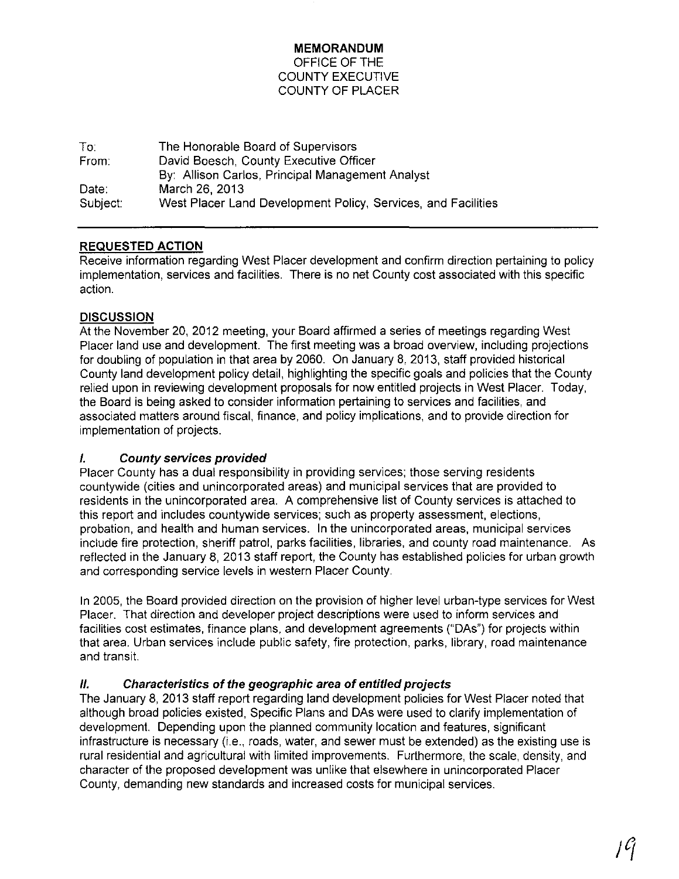### **MEMORANDUM** OFFICE OF THE COUNTY EXECUTIVE COUNTY OF PLACER

| To∶      | The Honorable Board of Supervisors                            |
|----------|---------------------------------------------------------------|
| From:    | David Boesch, County Executive Officer                        |
|          | By: Allison Carlos, Principal Management Analyst              |
| Date:    | March 26, 2013                                                |
| Subject: | West Placer Land Development Policy, Services, and Facilities |

# **REQUESTED** ACTION

Receive information regarding West Placer development and confirm direction pertaining to policy implementation, services and facilities. There is no net County cost associated with this specific action.

# **DISCUSSION**

At the November 20, 2012 meeting, your Board affirmed a series of meetings regarding West Placer land use and development. The first meeting was a broad overview, including projections for doubling of population in that area by 2060. On January 8, 2013, staff provided historical County land development policy detail, highlighting the specific goals and policies that the County relied upon in reviewing development proposals for now entitled projects in West Placer. Today, the Board is being asked to consider information pertaining to services and facilities, and associated matters around fiscal, finance, and policy implications, and to provide direction for implementation of projects.

# I. County services provided

Placer County has a dual responsibility in providing services; those serving residents countywide (cities and unincorporated areas) and municipal services that are provided to residents in the unincorporated area. A comprehensive list of County services is attached to this report and includes countywide services; such as property assessment, elections, probation, and health and human services. In the unincorporated areas, municipal services include fire protection, sheriff patrol, parks facilities, libraries, and county road maintenance. As reflected in the January 8, 2013 staff report, the County has established policies for urban growth and corresponding service levels in western Placer County.

In 2005, the Board provided direction on the provision of higher level urban-type services for West Placer. That direction and developer project descriptions were used to inform services and facilities cost estimates, finance plans, and development agreements ("DAs") for projects within that area. Urban services include public safety, fire protection, parks, library, road maintenance and transit.

# II. Characteristics of the geographic area of entitled projects

The January 8, 2013 staff report regarding land development policies for West Placer noted that although broad policies existed, Specific Plans and DAs were used to clarify implementation of development. Depending upon the planned community location and features, significant infrastructure is necessary (i.e., roads, water, and sewer must be extended) as the existing use is rural residential and agricultural with limited improvements. Furthermore, the scale, density, and character of the proposed development was unlike that elsewhere in unincorporated Placer County, demanding new standards and increased costs for municipal services.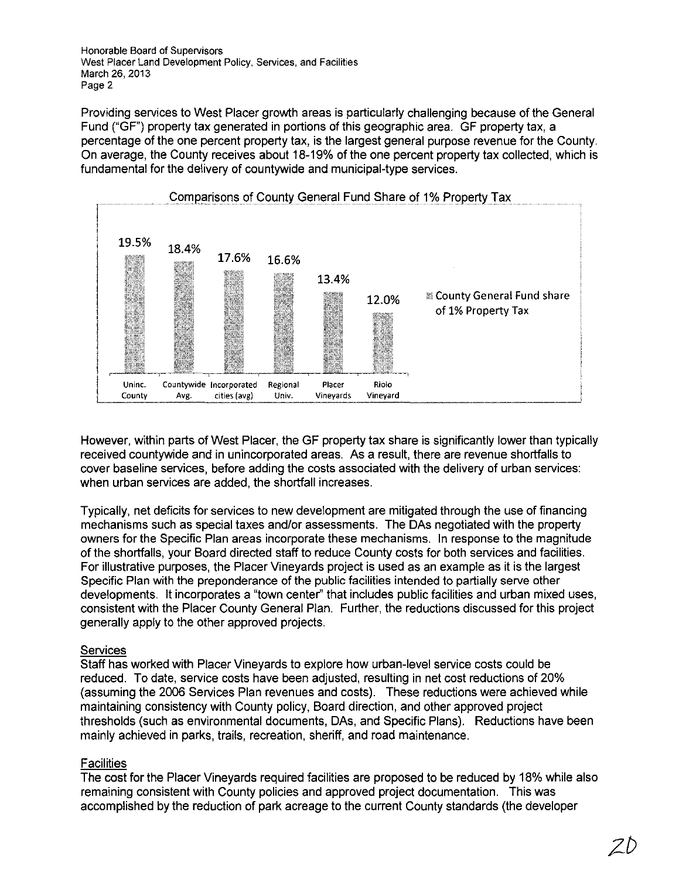Honorable Board of Supervisors West Placer Land Development Policy, Services, and Facilities March 26, 2013 Page 2

Providing services to West Placer growth areas is particularly challenging because of the General Fund ("GF") property tax generated in portions of this geographic area. GF property tax, a percentage of the one percent property tax, is the largest general purpose revenue for the County. On average, the County receives about 18-19% of the one percent property tax collected, which is fundamental for the delivery of countywide and municipal-type services.



However, within parts of West Placer, the GF property tax share is significantly lower than typically received countywide and in unincorporated areas. As a result, there are revenue shortfalls to cover baseline services, before adding the costs associated with the delivery of urban services: when urban services are added, the shortfall increases.

Typically, net deficits for services to new development are mitigated through the use of financing mechanisms such as special taxes andlor assessments. The DAs negotiated with the property owners for the Specific Plan areas incorporate these mechanisms. In response to the magnitude of the shortfalls, your Board directed staff to reduce County costs for both services and facilities. For illustrative purposes, the Placer Vineyards project is used as an example as it is the largest Specific Plan with the preponderance of the public facilities intended to partially serve other developments. It incorporates a "town center" that includes public facilities and urban mixed uses, consistent with the Placer County General Plan. Further, the reductions discussed for this project generally apply to the other approved projects.

### **Services**

Staff has worked with Placer Vineyards to explore how urban-level service costs could be reduced. To date, service costs have been adjusted, resulting in net cost reductions of 20% (assuming the 2006 Services Plan revenues and costs). These reductions were achieved while maintaining consistency with County policy, Board direction, and other approved project thresholds (such as environmental documents, DAs, and Specific Plans). Reductions have been mainly achieved in parks, trails, recreation, sheriff, and road maintenance.

### **Facilities**

The cost for the Placer Vineyards required facilities are proposed to be reduced by 18% while also remaining consistent with County policies and approved project documentation. This was accomplished by the reduction of park acreage to the current County standards (the developer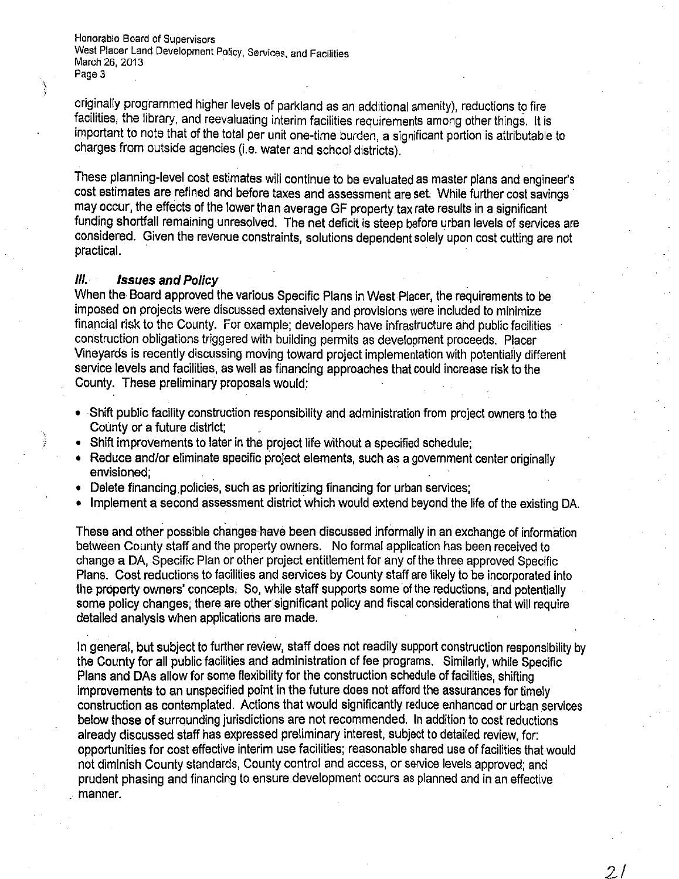Honorable Board of Supervisors West Placer Land Development Policy, Services, and Facilities March 26, 2013 Page 3

originally programmed higher levels of parkland as an additional amenity), reductions to fire facilities, the library, and reevaluating interim facilities requirements among other things. It is important to note that of the total per unit one-time burden, a significant portion is attributable to charges from outside agencies (i.e. water and school districts).

These planning-level cost estimates will continue to be evaluated as master plans and engineer's cost estimates are refined and before taxes and assessment are set While further cost savings may occur, the effects of the lower than average GF property tax rate results in a significant funding shortfall remaining unresolved. The net deficit is steep before urban levels of services are considered. Given the revenue constraints, solutions dependent solely upon cost cutting are not practical. .

#### **III. Issues and Policy**

 $\lambda$ i

> When the Board approved the various Specific Plans in West Placer, the requirements to be imposed on projects were discussed extensively and provisions were included to minimize financial risk to the County. For example; developers have infrastructure and public facilities construction obligations triggered with building permits as development proceeds. Placer Vineyards is recently discussing moving toward project implementation with potentialiy different service levels and facilities, as well as financing approaches that could increase risk to the County. These preliminary proposals would:

- Shift public facility construction responsibility and administration from project owners to the County or a future district;
- Shift improvements to later in the project life without a specified schedule;
- Reduce and/or eliminate specific project elements, such as a government center originally envisioned; .
- Delete financing policies, such as prioritizing financing for urban services;
- Implement a second assessment district which would extend beyond the life of the existing DA.

These and other possible changes have been discussed informally in an exchange of information between County staff and the property owners. No formal application has been received to change a DA, Specific Plan or other project entitlement for any of the three approved Specific Plans. Cost reductions to facilities and services by County staff are likely to be incorporated into the property owners' concepts. So, while staff supports some of the reductions, and potentially some policy changes; there are other significant policy and fiscal considerations that will require detailed analysis when applications are made.

In general, but subject to further review, staff does not readily support construction responsibility by the County for all public facilities and administration of fee programs. Similarly, while Specific Plans and DAs allow for some flexibility for the construction schedule of facilities, shifting improvements to an unspecified point in the future does not afford the assurances for timely construction as contemplated. Actions that would significantly reduce enhanced or urban services below those of surrounding jurisdictions are not recommended. In addition to cost reductions already discussed staff has expressed preliminary interest, subject to detailed review, for: opportunities for cost effective interim use facilities; reasonable shared use of facilities that would not diminish County standards, County control and access, or service levels approved; and prudent phasing and financing to ensure development occurs as planned and in an effective manner.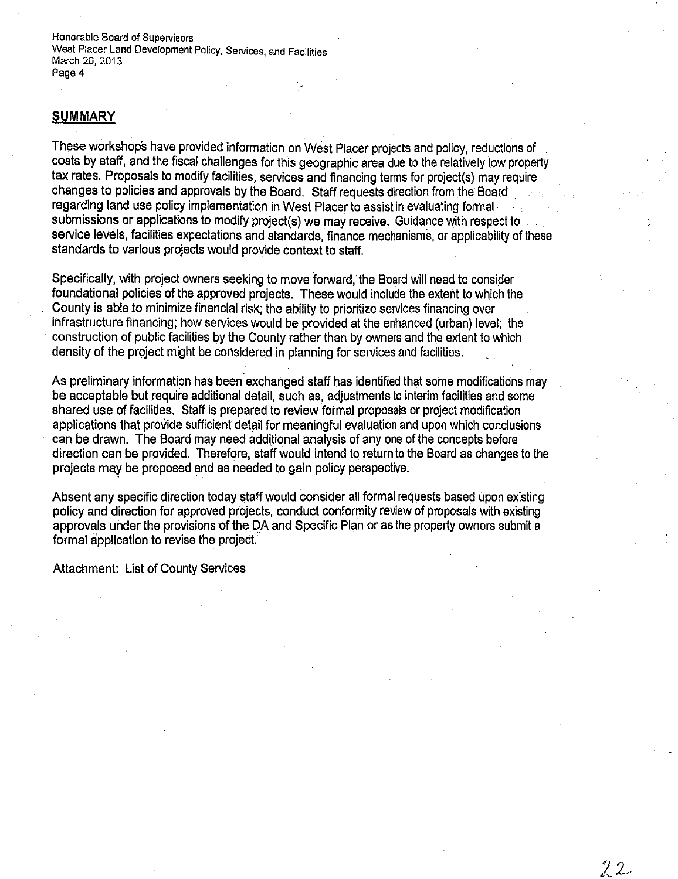Honorable Board of Supervisors West Placer Land Development Policy, Services, and Facilities March 26, 2013 Page 4

#### **SUMMARY**

These workshops have provided information on West Placer projects and policy, reductions of costs by staff, and the fiscal challenges for this geographic area due to the relatively low property tax rates, Proposals to modify facilities, services and financing terms for project(s) may require changes to policies and approvals by the Board. Staff requests direction from the Board regarding land use policy implementation in West Placer to assist in evaluating formal submissions or applications to modify project(s) we may receive. Guidance with respect to service levels, facilities expectations and standards, finance mechanisms, or applicability of these standards to various projects would provide context to staff,

Specifically, with project owners seeking to move forward, the Board will need to consider foundational policies of the approved projects. These would include the extent to which the County is able to minimize financial risk; the ability to prioritize services financing over infrastructure financing; how services would be provided at the enhanced (urban) level; the construction of public facilities by the County rather than by owners and the extent to which density of the project might be considered in planning for services and facilities.

As preliminary information has been exchanged staff has identified that some modifications may be acceptable but require additional detail, such as, adjustments to interim facilities and some shared use of facilities. Staff is prepared to review formal proposals or project modification applications that provide sufficient detail for meaningful evaluation and upon which conclusions can be drawn. The Board may need additional analysis of any one of the concepts before direction can be provided. Therefore, staff would intend to return to the Board as changes to the projects *may* be proposed and as needed to gain policy perspective,

Absent any specific direction today staff would consider all formal requests based upon existing policy and direction for approved projects, conduct conformity review of proposals with existing approvals under the provisions of the DA and Specific Plan or as the property owners submit a formal application to revise the project.

Attachment: List of County Services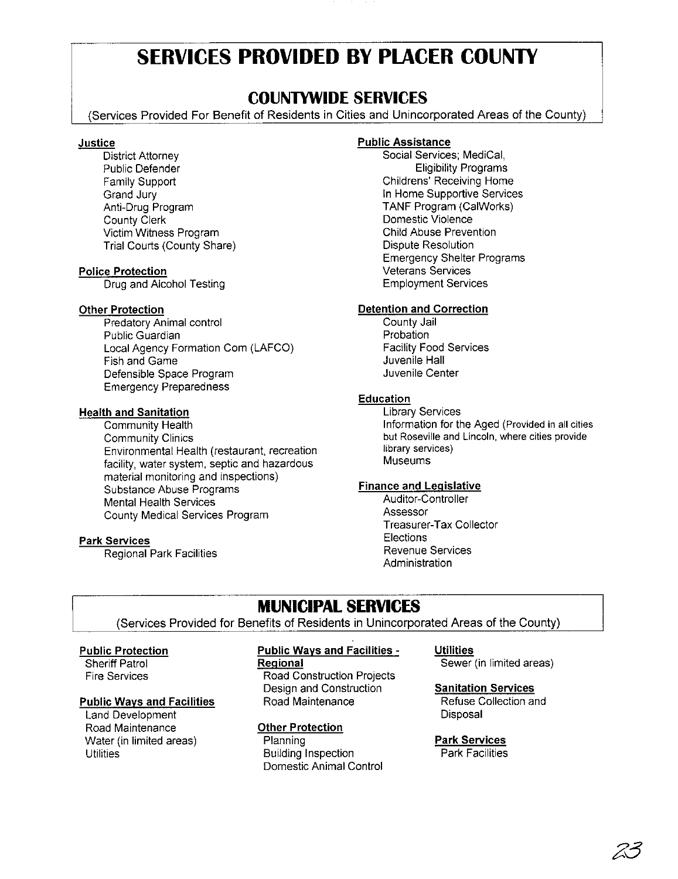# **SERVICES PROVIDED BY PLACER COUNTY**

# **COUNTYWIDE SERVICES**

(Services Provided For Benefit of Residents in Cities and Unincorporated Areas of the County)

#### **Justice**

District Attorney Public Defender Family Support Grand Jury Anti-Drug Program County Clerk Victim Witness Program Trial Courts (County Share)

#### Police Protection

Drug and Alcohol Testing

#### Other Protection

Predatory Animal control Public Guardian Local Agency Formation Com (LAFCO) Fish and Game Defensible Space Program Emergency Preparedness

#### Health and Sanitation

Community Health Community Clinics Environmental Health (restaurant, recreation facility, water system, septic and hazardous material monitoring and inspections) Substance Abuse Programs Mental Health Services County Medical Services Program

#### Park Services

Regional Park Facilities

#### Public Assistance

Social Services; MediCal, Eligibility Programs Childrens' Receiving Home In Home Supportive Services TANF Program (CaIWorks) Domestic Violence Child Abuse Prevention Dispute Resolution Emergency Shelter Programs Veterans Services Employment Services

#### Detention and Correction

County Jail Probation Facility Food Services Juvenile Hall Juvenile Center

#### Education

Library Services Information for the Aged (Provided in all cities **but Roseville and Lincoln, where cities provide** library services) Museums

#### Finance and Legislative

Auditor-Controller Assessor Treasurer-Tax Collector **Elections** Revenue Services **Administration** 

# **MUNICIPAL SERVICES**

(Services Provided for Benefits of Residents in Unincorporated Areas of the County)

#### Public Protection

Sheriff Patrol Fire Services

#### Public Ways and Facilities

Land Development Road Maintenance Water (in limited areas) Utilities

#### Public Ways and Facilities -

**Regional** 

Road Construction Projects Design and Construction Road Maintenance

#### Other Protection

**Planning** Building Inspection Domestic Animal Control

# **Utilities**

Sewer (in limited areas)

#### Sanitation Services

Refuse Collection and Disposal

#### Park Services Park Facilities